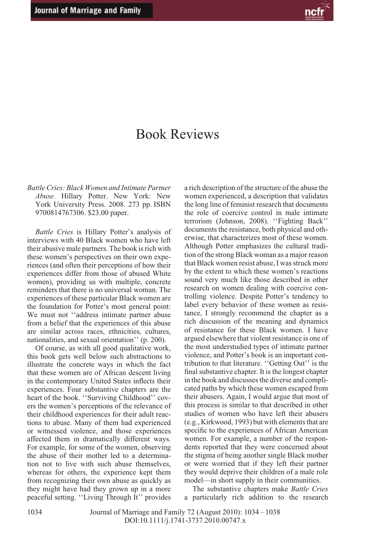

## Book Reviews

*Battle Cries: Black Women and Intimate Partner Abuse.* Hillary Potter. New York: New York University Press. 2008. 273 pp. ISBN 9700814767306. \$23.00 paper.

*Battle Cries* is Hillary Potter's analysis of interviews with 40 Black women who have left their abusive male partners. The book is rich with these women's perspectives on their own experiences (and often their perceptions of how their experiences differ from those of abused White women), providing us with multiple, concrete reminders that there is no universal woman. The experiences of these particular Black women are the foundation for Potter's most general point: We must not ''address intimate partner abuse from a belief that the experiences of this abuse are similar across races, ethnicities, cultures, nationalities, and sexual orientation'' (p. 200).

Of course, as with all good qualitative work, this book gets well below such abstractions to illustrate the concrete ways in which the fact that these women are of African descent living in the contemporary United States inflects their experiences. Four substantive chapters are the heart of the book. ''Surviving Childhood'' covers the women's perceptions of the relevance of their childhood experiences for their adult reactions to abuse. Many of them had experienced or witnessed violence, and those experiences affected them in dramatically different ways. For example, for some of the women, observing the abuse of their mother led to a determination not to live with such abuse themselves, whereas for others, the experience kept them from recognizing their own abuse as quickly as they might have had they grown up in a more peaceful setting. ''Living Through It'' provides

a rich description of the structure of the abuse the women experienced, a description that validates the long line of feminist research that documents the role of coercive control in male intimate terrorism (Johnson, 2008). ''Fighting Back'' documents the resistance, both physical and otherwise, that characterizes most of these women. Although Potter emphasizes the cultural tradition of the strong Black woman as a major reason that Black women resist abuse, I was struck more by the extent to which these women's reactions sound very much like those described in other research on women dealing with coercive controlling violence. Despite Potter's tendency to label every behavior of these women as resistance, I strongly recommend the chapter as a rich discussion of the meaning and dynamics of resistance for these Black women. I have argued elsewhere that violent resistance is one of the most understudied types of intimate partner violence, and Potter's book is an important contribution to that literature. ''Getting Out'' is the final substantive chapter. It is the longest chapter in the book and discusses the diverse and complicated paths by which these women escaped from their abusers. Again, I would argue that most of this process is similar to that described in other studies of women who have left their abusers (e.g., Kirkwood, 1993) but with elements that are specific to the experiences of African American women. For example, a number of the respondents reported that they were concerned about the stigma of being another single Black mother or were worried that if they left their partner they would deprive their children of a male role model—in short supply in their communities.

The substantive chapters make *Battle Cries* a particularly rich addition to the research

1034 Journal of Marriage and Family 72 (August 2010): 1034 – 1038 DOI:10.1111/j.1741-3737.2010.00747.x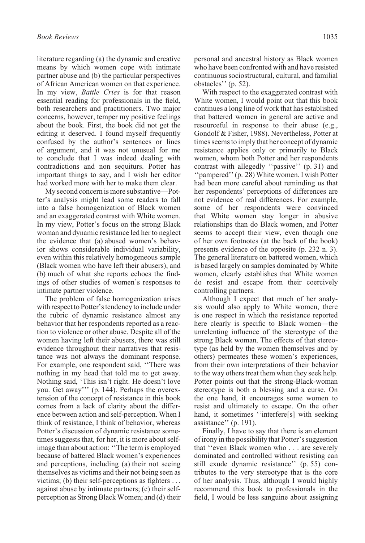literature regarding (a) the dynamic and creative means by which women cope with intimate partner abuse and (b) the particular perspectives of African American women on that experience. In my view, *Battle Cries* is for that reason essential reading for professionals in the field, both researchers and practitioners. Two major concerns, however, temper my positive feelings about the book. First, the book did not get the editing it deserved. I found myself frequently confused by the author's sentences or lines of argument, and it was not unusual for me to conclude that I was indeed dealing with contradictions and non sequiturs. Potter has important things to say, and I wish her editor had worked more with her to make them clear.

My second concern is more substantive—Potter's analysis might lead some readers to fall into a false homogenization of Black women and an exaggerated contrast with White women. In my view, Potter's focus on the strong Black woman and dynamic resistance led her to neglect the evidence that (a) abused women's behavior shows considerable individual variability, even within this relatively homogeneous sample (Black women who have left their abusers), and (b) much of what she reports echoes the findings of other studies of women's responses to intimate partner violence.

The problem of false homogenization arises with respect to Potter's tendency to include under the rubric of dynamic resistance almost any behavior that her respondents reported as a reaction to violence or other abuse. Despite all of the women having left their abusers, there was still evidence throughout their narratives that resistance was not always the dominant response. For example, one respondent said, ''There was nothing in my head that told me to get away. Nothing said, 'This isn't right. He doesn't love you. Get away''' (p. 144). Perhaps the overextension of the concept of resistance in this book comes from a lack of clarity about the difference between action and self-perception. When I think of resistance, I think of behavior, whereas Potter's discussion of dynamic resistance sometimes suggests that, for her, it is more about selfimage than about action: ''The term is employed because of battered Black women's experiences and perceptions, including (a) their not seeing themselves as victims and their not being seen as victims; (b) their self-perceptions as fighters *...* against abuse by intimate partners; (c) their selfperception as Strong Black Women; and (d) their

personal and ancestral history as Black women who have been confronted with and have resisted continuous sociostructural, cultural, and familial obstacles'' (p. 52).

With respect to the exaggerated contrast with White women, I would point out that this book continues a long line of work that has established that battered women in general are active and resourceful in response to their abuse (e.g., Gondolf & Fisher, 1988). Nevertheless, Potter at times seems to imply that her concept of dynamic resistance applies only or primarily to Black women, whom both Potter and her respondents contrast with allegedly ''passive'' (p. 31) and ''pampered'' (p. 28) White women. I wish Potter had been more careful about reminding us that her respondents' perceptions of differences are not evidence of real differences. For example, some of her respondents were convinced that White women stay longer in abusive relationships than do Black women, and Potter seems to accept their view, even though one of her own footnotes (at the back of the book) presents evidence of the opposite (p. 232 n. 3). The general literature on battered women, which is based largely on samples dominated by White women, clearly establishes that White women do resist and escape from their coercively controlling partners.

Although I expect that much of her analysis would also apply to White women, there is one respect in which the resistance reported here clearly is specific to Black women—the unrelenting influence of the stereotype of the strong Black woman. The effects of that stereotype (as held by the women themselves and by others) permeates these women's experiences, from their own interpretations of their behavior to the way others treat them when they seek help. Potter points out that the strong-Black-woman stereotype is both a blessing and a curse. On the one hand, it encourages some women to resist and ultimately to escape. On the other hand, it sometimes "interfere[s] with seeking assistance'' (p. 191).

Finally, I have to say that there is an element of irony in the possibility that Potter's suggestion that ''even Black women who . . . are severely dominated and controlled without resisting can still exude dynamic resistance'' (p. 55) contributes to the very stereotype that is the core of her analysis. Thus, although I would highly recommend this book to professionals in the field, I would be less sanguine about assigning